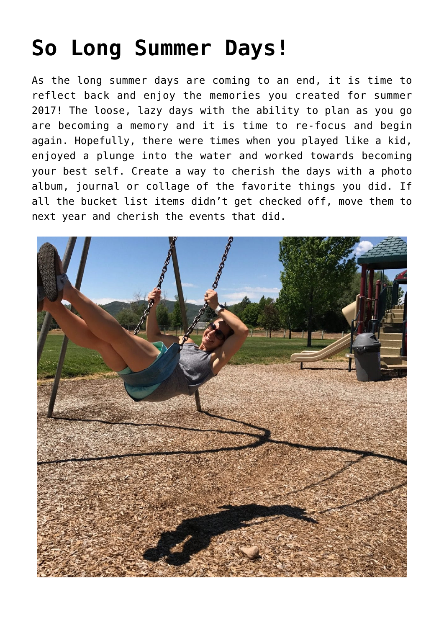## **[So Long Summer Days!](https://alethiatruefit.com/uncategorized/so-long-summer-days/)**

As the long summer days are coming to an end, it is time to reflect back and enjoy the memories you created for summer 2017! The loose, lazy days with the ability to plan as you go are becoming a memory and it is time to re-focus and begin again. Hopefully, there were times when you played like a kid, enjoyed a plunge into the water and worked towards becoming your best self. Create a way to cherish the days with a photo album, journal or collage of the favorite things you did. If all the bucket list items didn't get checked off, move them to next year and cherish the events that did.